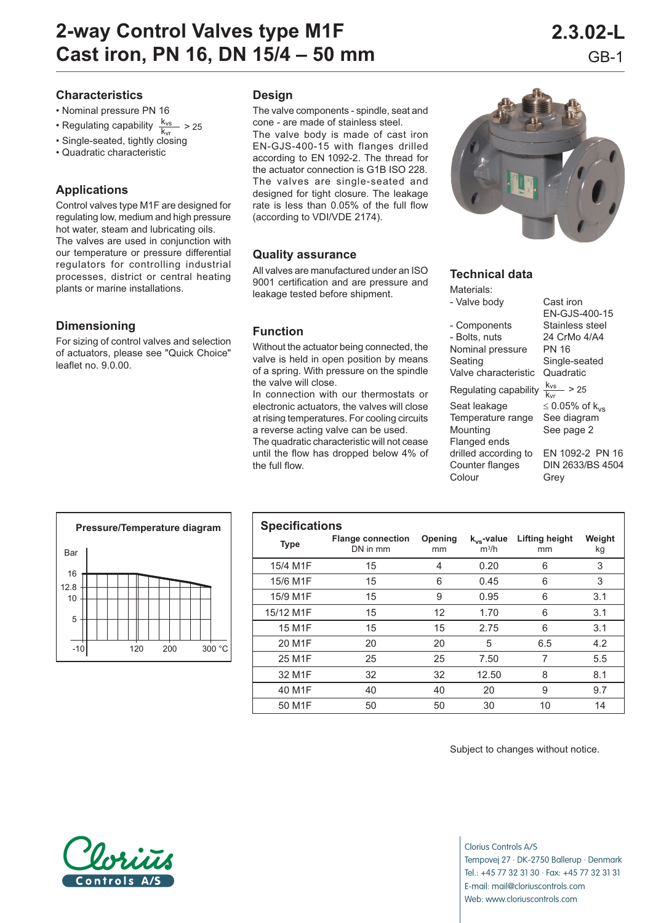# **2-way Control Valves type M1F 2.3.02-L Cast iron, PN 16, DN 15/4 – 50 mm** GB-1

#### **Characteristics**

- Nominal pressure PN 16
- Regulating capability  $\frac{k_{vs}}{k_{vr}} > 25$
- Single-seated, tightly closing
- Quadratic characteristic

# **Applications**

Control valves type M1F are designed for regulating low, medium and high pressure hot water, steam and lubricating oils. The valves are used in conjunction with our temperature or pressure differential regulators for controlling industrial processes, district or central heating plants or marine installations.

# **Dimensioning**

For sizing of control valves and selection of actuators, please see "Quick Choice" leaflet no. 9.0.00.

#### **Design**

The valve components - spindle, seat and cone - are made of stainless steel. The valve body is made of cast iron EN-GJS-400-15 with flanges drilled according to EN 1092-2. The thread for the actuator connection is G1B ISO 228. The valves are single-seated and designed for tight closure. The leakage rate is less than 0.05% of the full flow (according to VDI/VDE 2174).

#### **Quality assurance**

All valves are manufactured under an ISO 9001 certification and are pressure and leakage tested before shipment.

# **Function**

Without the actuator being connected, the valve is held in open position by means of a spring. With pressure on the spindle the valve will close.

In connection with our thermostats or electronic actuators, the valves will close at rising temperatures. For cooling circuits a reverse acting valve can be used.

The quadratic characteristic will not cease until the flow has dropped below 4% of the full flow.



# **Technical data**

Materials: - Valve body Cast iron - Components Stainless steel - Bolts, nuts 24 CrMo 4/A4 Nominal pressure PN 16 Seating Single-seated Valve characteristic Quadratic Regulating capability  $\frac{k_{vs}}{k_{vr}} > 25$ Seat leakage  $\leq 0.05\%$  of k<sub>vs</sub><br>Temperature range See diagram Temperature range Mounting See page 2 Flanged ends drilled according to EN 1092-2 PN 16 Counter flanges DIN 2633/BS 4504 Colour Grey

EN-GJS-400-15



| <b>Specifications</b> |                                      |               |                            |                             |              |  |  |  |  |
|-----------------------|--------------------------------------|---------------|----------------------------|-----------------------------|--------------|--|--|--|--|
| <b>Type</b>           | <b>Flange connection</b><br>DN in mm | Opening<br>mm | $k_{vs}$ -value<br>$m^3/h$ | <b>Lifting height</b><br>mm | Weight<br>kg |  |  |  |  |
| 15/4 M1F              | 15                                   | 4             | 0.20                       | 6                           | 3            |  |  |  |  |
| 15/6 M1F              | 15                                   | 6             | 0.45                       | 6                           | 3            |  |  |  |  |
| 15/9 M1F              | 15                                   | 9             | 0.95                       | 6                           | 3.1          |  |  |  |  |
| 15/12 M1F             | 15                                   | 12            | 1.70                       | 6                           | 3.1          |  |  |  |  |
| 15 M <sub>1</sub> F   | 15                                   | 15            | 2.75                       | 6                           | 3.1          |  |  |  |  |
| 20 M <sub>1</sub> F   | 20                                   | 20            | 5                          | 6.5                         | 4.2          |  |  |  |  |
| 25 M <sub>1</sub> F   | 25                                   | 25            | 7.50                       | 7                           | 5.5          |  |  |  |  |
| 32 M1F                | 32                                   | 32            | 12.50                      | 8                           | 8.1          |  |  |  |  |
| 40 M1F                | 40                                   | 40            | 20                         | 9                           | 9.7          |  |  |  |  |
| 50 M1F                | 50                                   | 50            | 30                         | 10                          | 14           |  |  |  |  |

Subject to changes without notice.



Clorius Controls A/S Tempovej 27 · DK-2750 Ballerup · Denmark Tel.: +45 77 32 31 30 · Fax: +45 77 32 31 31 E-mail: mail@cloriuscontrols.com Web: www.cloriuscontrols.com